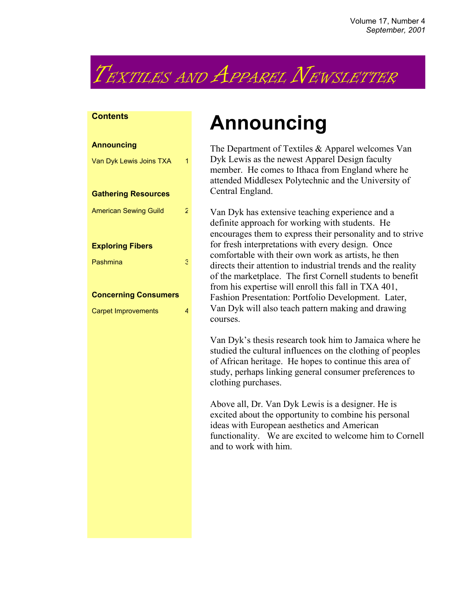# TEXTILES AND APPAREL NEWSLETTER

#### **Contents**

| <b>Announcing</b>            |   |
|------------------------------|---|
| Van Dyk Lewis Joins TXA      |   |
|                              |   |
| <b>Gathering Resources</b>   |   |
| <b>American Sewing Guild</b> | 2 |
|                              |   |
| <b>Exploring Fibers</b>      |   |
| Pashmina                     | Э |
|                              |   |
| <b>Concerning Consumers</b>  |   |
| <b>Carpet Improvements</b>   | Δ |
|                              |   |
|                              |   |
|                              |   |
|                              |   |

## **Announcing**

The Department of Textiles & Apparel welcomes Van Dyk Lewis as the newest Apparel Design faculty member. He comes to Ithaca from England where he attended Middlesex Polytechnic and the University of Central England.

Van Dyk has extensive teaching experience and a definite approach for working with students. He encourages them to express their personality and to strive for fresh interpretations with every design. Once comfortable with their own work as artists, he then directs their attention to industrial trends and the reality of the marketplace. The first Cornell students to benefit from his expertise will enroll this fall in TXA 401, Fashion Presentation: Portfolio Development. Later, Van Dyk will also teach pattern making and drawing courses.

Van Dyk's thesis research took him to Jamaica where he studied the cultural influences on the clothing of peoples of African heritage. He hopes to continue this area of study, perhaps linking general consumer preferences to clothing purchases.

Above all, Dr. Van Dyk Lewis is a designer. He is excited about the opportunity to combine his personal ideas with European aesthetics and American functionality. We are excited to welcome him to Cornell and to work with him.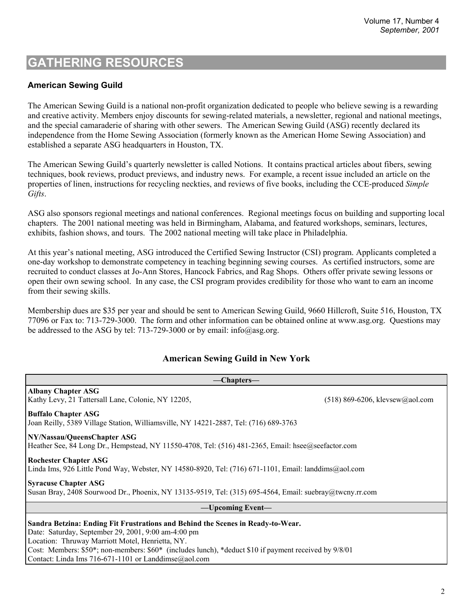## **GATHERING RESOURCES**

#### **American Sewing Guild**

The American Sewing Guild is a national non-profit organization dedicated to people who believe sewing is a rewarding and creative activity. Members enjoy discounts for sewing-related materials, a newsletter, regional and national meetings, and the special camaraderie of sharing with other sewers. The American Sewing Guild (ASG) recently declared its independence from the Home Sewing Association (formerly known as the American Home Sewing Association) and established a separate ASG headquarters in Houston, TX.

The American Sewing Guild's quarterly newsletter is called Notions. It contains practical articles about fibers, sewing techniques, book reviews, product previews, and industry news. For example, a recent issue included an article on the properties of linen, instructions for recycling neckties, and reviews of five books, including the CCE-produced *Simple Gifts*.

ASG also sponsors regional meetings and national conferences. Regional meetings focus on building and supporting local chapters. The 2001 national meeting was held in Birmingham, Alabama, and featured workshops, seminars, lectures, exhibits, fashion shows, and tours. The 2002 national meeting will take place in Philadelphia.

At this year's national meeting, ASG introduced the Certified Sewing Instructor (CSI) program. Applicants completed a one-day workshop to demonstrate competency in teaching beginning sewing courses. As certified instructors, some are recruited to conduct classes at Jo-Ann Stores, Hancock Fabrics, and Rag Shops. Others offer private sewing lessons or open their own sewing school. In any case, the CSI program provides credibility for those who want to earn an income from their sewing skills.

Membership dues are \$35 per year and should be sent to American Sewing Guild, 9660 Hillcroft, Suite 516, Houston, TX 77096 or Fax to: 713-729-3000. The form and other information can be obtained online at www.asg.org. Questions may be addressed to the ASG by tel: 713-729-3000 or by email: info@asg.org.

#### **American Sewing Guild in New York**

| -Chapters—                                                                                                                                                                                                                                                                                                                                                      |                                   |  |  |  |
|-----------------------------------------------------------------------------------------------------------------------------------------------------------------------------------------------------------------------------------------------------------------------------------------------------------------------------------------------------------------|-----------------------------------|--|--|--|
| <b>Albany Chapter ASG</b><br>Kathy Levy, 21 Tattersall Lane, Colonie, NY 12205,                                                                                                                                                                                                                                                                                 | $(518)$ 869-6206, klevsew@aol.com |  |  |  |
| <b>Buffalo Chapter ASG</b><br>Joan Reilly, 5389 Village Station, Williamsville, NY 14221-2887, Tel: (716) 689-3763                                                                                                                                                                                                                                              |                                   |  |  |  |
| NY/Nassau/QueensChapter ASG<br>Heather See, 84 Long Dr., Hempstead, NY 11550-4708, Tel: (516) 481-2365, Email: hsee@seefactor.com                                                                                                                                                                                                                               |                                   |  |  |  |
| <b>Rochester Chapter ASG</b><br>Linda Ims, 926 Little Pond Way, Webster, NY 14580-8920, Tel: (716) 671-1101, Email: landdims@aol.com                                                                                                                                                                                                                            |                                   |  |  |  |
| <b>Syracuse Chapter ASG</b><br>Susan Bray, 2408 Sourwood Dr., Phoenix, NY 13135-9519, Tel: (315) 695-4564, Email: suebray@twcny.rr.com                                                                                                                                                                                                                          |                                   |  |  |  |
| —Upcoming Event—                                                                                                                                                                                                                                                                                                                                                |                                   |  |  |  |
| Sandra Betzina: Ending Fit Frustrations and Behind the Scenes in Ready-to-Wear.<br>Date: Saturday, September 29, 2001, 9:00 am-4:00 pm<br>Location: Thruway Marriott Motel, Henrietta, NY.<br>Cost: Members: \$50*; non-members: \$60* (includes lunch), *deduct \$10 if payment received by 9/8/01<br>Contact: Linda Ims 716-671-1101 or Landdimse $@a$ ol.com |                                   |  |  |  |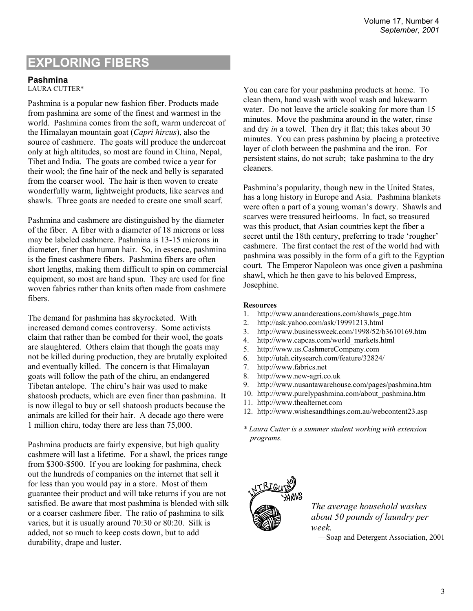## **EXPLORING FIBERS**

#### **Pashmina**

LAURA CUTTER\*

Pashmina is a popular new fashion fiber. Products made from pashmina are some of the finest and warmest in the world. Pashmina comes from the soft, warm undercoat of the Himalayan mountain goat (*Capri hircus*), also the source of cashmere. The goats will produce the undercoat only at high altitudes, so most are found in China, Nepal, Tibet and India. The goats are combed twice a year for their wool; the fine hair of the neck and belly is separated from the coarser wool. The hair is then woven to create wonderfully warm, lightweight products, like scarves and shawls. Three goats are needed to create one small scarf.

Pashmina and cashmere are distinguished by the diameter of the fiber. A fiber with a diameter of 18 microns or less may be labeled cashmere. Pashmina is 13-15 microns in diameter, finer than human hair. So, in essence, pashmina is the finest cashmere fibers. Pashmina fibers are often short lengths, making them difficult to spin on commercial equipment, so most are hand spun. They are used for fine woven fabrics rather than knits often made from cashmere fibers.

The demand for pashmina has skyrocketed. With increased demand comes controversy. Some activists claim that rather than be combed for their wool, the goats are slaughtered. Others claim that though the goats may not be killed during production, they are brutally exploited and eventually killed. The concern is that Himalayan goats will follow the path of the chiru, an endangered Tibetan antelope. The chiru's hair was used to make shatoosh products, which are even finer than pashmina. It is now illegal to buy or sell shatoosh products because the animals are killed for their hair. A decade ago there were 1 million chiru, today there are less than 75,000.

Pashmina products are fairly expensive, but high quality cashmere will last a lifetime. For a shawl, the prices range from \$300-\$500. If you are looking for pashmina, check out the hundreds of companies on the internet that sell it for less than you would pay in a store. Most of them guarantee their product and will take returns if you are not satisfied. Be aware that most pashmina is blended with silk or a coarser cashmere fiber. The ratio of pashmina to silk varies, but it is usually around 70:30 or 80:20. Silk is added, not so much to keep costs down, but to add durability, drape and luster.

You can care for your pashmina products at home. To clean them, hand wash with wool wash and lukewarm water. Do not leave the article soaking for more than 15 minutes. Move the pashmina around in the water, rinse and dry *in* a towel. Then dry it flat; this takes about 30 minutes. You can press pashmina by placing a protective layer of cloth between the pashmina and the iron. For persistent stains, do not scrub; take pashmina to the dry cleaners.

Pashmina's popularity, though new in the United States, has a long history in Europe and Asia. Pashmina blankets were often a part of a young woman's dowry. Shawls and scarves were treasured heirlooms. In fact, so treasured was this product, that Asian countries kept the fiber a secret until the 18th century, preferring to trade 'rougher' cashmere. The first contact the rest of the world had with pashmina was possibly in the form of a gift to the Egyptian court. The Emperor Napoleon was once given a pashmina shawl, which he then gave to his beloved Empress, Josephine.

#### **Resources**

- 1. http://www.anandcreations.com/shawls\_page.htm
- 2. http://ask.yahoo.com/ask/19991213.html
- 3. http://www.businessweek.com/1998/52/b3610169.htm
- 4. http://www.capcas.com/world\_markets.html
- 5. http://www.us.CashmereCompany.com
- 6. http://utah.citysearch.com/feature/32824/
- 7. http://www.fabrics.net
- 8. http://www.new-agri.co.uk
- 9. http://www.nusantawarehouse.com/pages/pashmina.htm
- 10. http://www.purelypashmina.com/about\_pashmina.htm
- 11. http://www.thealternet.com
- 12. http://www.wishesandthings.com.au/webcontent23.asp
- *\* Laura Cutter is a summer student working with extension programs.*



*The average household washes about 50 pounds of laundry per week.* 

—Soap and Detergent Association, 2001